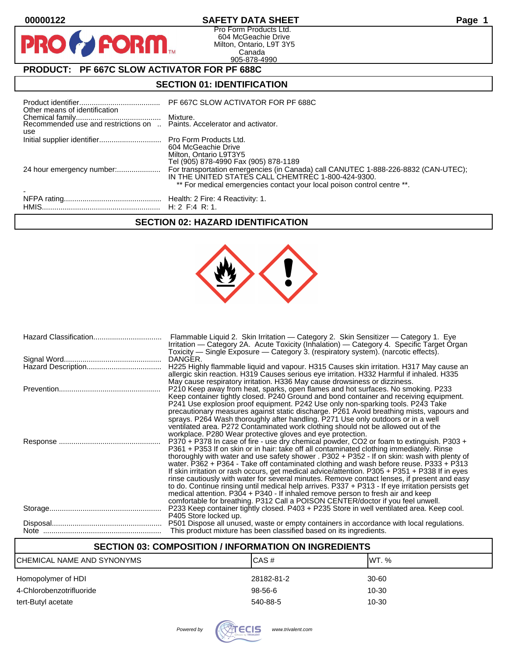$\mathbf O$ 

PR

# **00000122 SAFETY DATA SHEET Page 1**

Pro Form Products Ltd. 604 McGeachie Drive Milton, Ontario, L9T 3Y5 Canada 905-878-4990

# **PRODUCT: PF 667C SLOW ACTIVATOR FOR PF 688C**

**FORM** 

# **SECTION 01: IDENTIFICATION**

| Other means of identification | PF 667C SLOW ACTIVATOR FOR PF 688C                                                                                                                                                                                  |
|-------------------------------|---------------------------------------------------------------------------------------------------------------------------------------------------------------------------------------------------------------------|
| use                           |                                                                                                                                                                                                                     |
|                               | 604 McGeachie Drive<br>Milton, Ontario L9T3Y5<br>Tel (905) 878-4990 Fax (905) 878-1189                                                                                                                              |
| 24 hour emergency number:     | For transportation emergencies (in Canada) call CANUTEC 1-888-226-8832 (CAN-UTEC);<br>IN THE UNITED STATES CALL CHEMTREC 1-800-424-9300.<br>** For medical emergencies contact your local poison control centre **. |
|                               |                                                                                                                                                                                                                     |

# **SECTION 02: HAZARD IDENTIFICATION**



| Flammable Liquid 2. Skin Irritation — Category 2. Skin Sensitizer — Category 1. Eye<br>Irritation — Category 2A. Acute Toxicity (Inhalation) — Category 4. Specific Target Organ<br>Toxicity — Single Exposure — Category 3. (respiratory system). (narcotic effects).                                                                                                                                                                                                                                                                                                                                                                                                                                                                                                                                                                                   |
|----------------------------------------------------------------------------------------------------------------------------------------------------------------------------------------------------------------------------------------------------------------------------------------------------------------------------------------------------------------------------------------------------------------------------------------------------------------------------------------------------------------------------------------------------------------------------------------------------------------------------------------------------------------------------------------------------------------------------------------------------------------------------------------------------------------------------------------------------------|
| DANGER.                                                                                                                                                                                                                                                                                                                                                                                                                                                                                                                                                                                                                                                                                                                                                                                                                                                  |
| H225 Highly flammable liquid and vapour. H315 Causes skin irritation. H317 May cause an<br>allergic skin reaction. H319 Causes serious eye irritation. H332 Harmful if inhaled. H335<br>May cause respiratory irritation. H336 May cause drowsiness or dizziness.                                                                                                                                                                                                                                                                                                                                                                                                                                                                                                                                                                                        |
| P210 Keep away from heat, sparks, open flames and hot surfaces. No smoking. P233<br>Keep container tightly closed. P240 Ground and bond container and receiving equipment.<br>P241 Use explosion proof equipment. P242 Use only non-sparking tools. P243 Take<br>precautionary measures against static discharge. P261 Avoid breathing mists, vapours and<br>sprays. P264 Wash thoroughly after handling. P271 Use only outdoors or in a well<br>ventilated area. P272 Contaminated work clothing should not be allowed out of the<br>workplace. P280 Wear protective gloves and eye protection.                                                                                                                                                                                                                                                         |
| P370 + P378 In case of fire - use dry chemical powder, CO2 or foam to extinguish. P303 +<br>P361 + P353 If on skin or in hair: take off all contaminated clothing immediately. Rinse<br>thoroughly with water and use safety shower . P302 + P352 - If on skin: wash with plenty of<br>water. P362 + P364 - Take off contaminated clothing and wash before reuse. P333 + P313<br>If skin irritation or rash occurs, get medical advice/attention. P305 + P351 + P338 If in eyes<br>rinse cautiously with water for several minutes. Remove contact lenses, if present and easy<br>to do. Continue rinsing until medical help arrives. P337 + P313 - If eye irritation persists get<br>medical attention. P304 + P340 - If inhaled remove person to fresh air and keep<br>comfortable for breathing. P312 Call a POISON CENTER/doctor if you feel unwell. |
| P233 Keep container tightly closed. P403 + P235 Store in well ventilated area. Keep cool.<br>P405 Store locked up.                                                                                                                                                                                                                                                                                                                                                                                                                                                                                                                                                                                                                                                                                                                                       |
| P501 Dispose all unused, waste or empty containers in accordance with local regulations.<br>This product mixture has been classified based on its ingredients.                                                                                                                                                                                                                                                                                                                                                                                                                                                                                                                                                                                                                                                                                           |

# **SECTION 03: COMPOSITION / INFORMATION ON INGREDIENTS**

| CHEMICAL NAME AND SYNONYMS | CAS#       | IWT. % |
|----------------------------|------------|--------|
| Homopolymer of HDI         | 28182-81-2 | 30-60  |
| 4-Chlorobenzotrifluoride   | $98-56-6$  | 10-30  |
| tert-Butyl acetate         | 540-88-5   | 10-30  |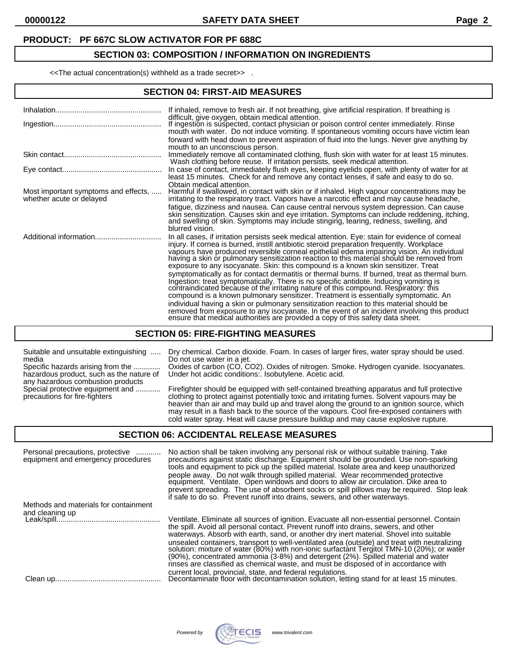### **PRODUCT: PF 667C SLOW ACTIVATOR FOR PF 688C**

### **SECTION 03: COMPOSITION / INFORMATION ON INGREDIENTS**

<<The actual concentration(s) withheld as a trade secret>> .

#### **SECTION 04: FIRST-AID MEASURES**

|                                                                  | If inhaled, remove to fresh air. If not breathing, give artificial respiration. If breathing is<br>difficult, give oxygen, obtain medical attention.<br>If ingestion is suspected, contact physician or poison control center immediately. Rinse<br>mouth with water. Do not induce vomiting. If spontaneous vomiting occurs have victim lean<br>forward with head down to prevent aspiration of fluid into the lungs. Never give anything by                                                                                                                                                                                                                                                                                                                                                                                                                                                                                                                                                                                                                                                                                   |
|------------------------------------------------------------------|---------------------------------------------------------------------------------------------------------------------------------------------------------------------------------------------------------------------------------------------------------------------------------------------------------------------------------------------------------------------------------------------------------------------------------------------------------------------------------------------------------------------------------------------------------------------------------------------------------------------------------------------------------------------------------------------------------------------------------------------------------------------------------------------------------------------------------------------------------------------------------------------------------------------------------------------------------------------------------------------------------------------------------------------------------------------------------------------------------------------------------|
|                                                                  | mouth to an unconscious person.<br>Immediately remove all contaminated clothing, flush skin with water for at least 15 minutes.<br>Wash clothing before reuse. If irritation persists, seek medical attention.                                                                                                                                                                                                                                                                                                                                                                                                                                                                                                                                                                                                                                                                                                                                                                                                                                                                                                                  |
|                                                                  | In case of contact, immediately flush eyes, keeping eyelids open, with plenty of water for at<br>least 15 minutes. Check for and remove any contact lenses, if safe and easy to do so.<br>Obtain medical attention.                                                                                                                                                                                                                                                                                                                                                                                                                                                                                                                                                                                                                                                                                                                                                                                                                                                                                                             |
| Most important symptoms and effects,<br>whether acute or delayed | Harmful if swallowed, in contact with skin or if inhaled. High vapour concentrations may be<br>irritating to the respiratory tract. Vapors have a narcotic effect and may cause headache,<br>fatigue, dizziness and nausea. Can cause central nervous system depression. Can cause<br>skin sensitization. Causes skin and eye irritation. Symptoms can include reddening, itching,<br>and swelling of skin. Symptoms may include stinging, tearing, redness, swelling, and<br>blurred vision.                                                                                                                                                                                                                                                                                                                                                                                                                                                                                                                                                                                                                                   |
|                                                                  | In all cases, if irritation persists seek medical attention. Eye: stain for evidence of corneal<br>injury. If cornea is burned, instill antibiotic steroid preparation frequently. Workplace<br>vapours have produced reversible corneal epithelial edema impairing vision. An individual<br>having a skin or pulmonary sensitization reaction to this material should be removed from<br>exposure to any isocyanate. Skin: this compound is a known skin sensitizer. Treat<br>symptomatically as for contact dermatitis or thermal burns. If burned, treat as thermal burn.<br>Ingestion: treat symptomatically. There is no specific antidote. Inducing vomiting is<br>contraindicated because of the irritating nature of this compound. Respiratory: this<br>compound is a known pulmonary sensitizer. Treatment is essentially symptomatic. An<br>individual having a skin or pulmonary sensitization reaction to this material should be<br>removed from exposure to any isocyanate. In the event of an incident involving this product<br>ensure that medical authorities are provided a copy of this safety data sheet. |

#### **SECTION 05: FIRE-FIGHTING MEASURES**

media Do not use water in a jet.

hazardous product, such as the nature of<br>any hazardous combustion products<br>Special protective equipment and ...........

Suitable and unsuitable extinguishing ..... Dry chemical. Carbon dioxide. Foam. In cases of larger fires, water spray should be used.

Specific hazards arising from the ............. Oxides of carbon (CO, CO2). Oxides of nitrogen. Smoke. Hydrogen cyanide. Isocyanates. hazardous product, such as the nature of Under hot acidic conditions:. Isobutylene. Acetic acid.

Special protective equipment and ............ Firefighter should be equipped with self-contained breathing apparatus and full protective precautions for fire-fighters clothing to protect against potentially toxic and irritating fumes. Solvent vapours may be heavier than air and may build up and travel along the ground to an ignition source, which may result in a flash back to the source of the vapours. Cool fire-exposed containers with cold water spray. Heat will cause pressure buildup and may cause explosive rupture.

### **SECTION 06: ACCIDENTAL RELEASE MEASURES**

| Personal precautions, protective<br>equipment and emergency procedures | No action shall be taken involving any personal risk or without suitable training. Take<br>precautions against static discharge. Equipment should be grounded. Use non-sparking<br>tools and equipment to pick up the spilled material. Isolate area and keep unauthorized<br>people away. Do not walk through spilled material. Wear recommended protective<br>equipment. Ventilate. Open windows and doors to allow air circulation. Dike area to<br>prevent spreading. The use of absorbent socks or spill pillows may be required. Stop leak<br>if safe to do so. Prevent runoff into drains, sewers, and other waterways. |
|------------------------------------------------------------------------|--------------------------------------------------------------------------------------------------------------------------------------------------------------------------------------------------------------------------------------------------------------------------------------------------------------------------------------------------------------------------------------------------------------------------------------------------------------------------------------------------------------------------------------------------------------------------------------------------------------------------------|
| Methods and materials for containment                                  | Ventilate. Eliminate all sources of ignition. Evacuate all non-essential personnel. Contain<br>the spill. Avoid all personal contact. Prevent runoff into drains, sewers, and other<br>waterways. Absorb with earth, sand, or another dry inert material. Shovel into suitable<br>unsealed containers, transport to well-ventilated area (outside) and treat with neutralizing solution: mixture of water (80%) with non-ionic surfactant Tergitol TMN-10 (20%); or water                                                                                                                                                      |
|                                                                        | (90%), concentrated ammonia (3-8%) and detergent (2%). Spilled material and water<br>rinses are classified as chemical waste, and must be disposed of in accordance with<br>current local, provincial, state, and federal regulations.<br>Decontaminate floor with decontamination solution, letting stand for at least 15 minutes.                                                                                                                                                                                                                                                                                            |

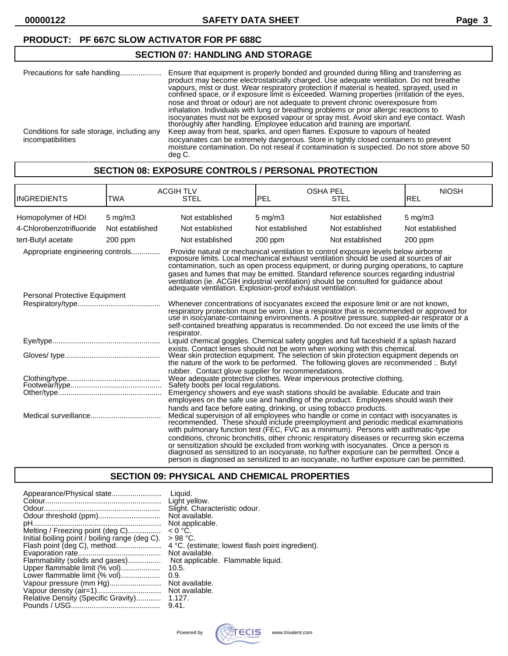**00000122 SAFETY DATA SHEET Page 3**

## **PRODUCT: PF 667C SLOW ACTIVATOR FOR PF 688C**

# **SECTION 07: HANDLING AND STORAGE**

| Precautions for safe handling                                   | Ensure that equipment is properly bonded and grounded during filling and transferring as<br>product may become electrostatically charged. Use adequate ventilation. Do not breathe<br>vapours, mist or dust. Wear respiratory protection if material is heated, sprayed, used in<br>confined space, or if exposure limit is exceeded. Warning properties (irritation of the eyes,                                                                                                                                                                                                                                                |
|-----------------------------------------------------------------|----------------------------------------------------------------------------------------------------------------------------------------------------------------------------------------------------------------------------------------------------------------------------------------------------------------------------------------------------------------------------------------------------------------------------------------------------------------------------------------------------------------------------------------------------------------------------------------------------------------------------------|
| Conditions for safe storage, including any<br>incompatibilities | nose and throat or odour) are not adequate to prevent chronic overexposure from<br>inhalation. Individuals with lung or breathing problems or prior allergic reactions to<br>isocyanates must not be exposed vapour or spray mist. Avoid skin and eye contact. Wash<br>thoroughly after handling. Employee education and training are important.<br>Keep away from heat, sparks, and open flames. Exposure to vapours of heated<br>isocyanates can be extremely dangerous. Store in tightly closed containers to prevent<br>moisture contamination. Do not reseal if contamination is suspected. Do not store above 50<br>deg C. |

# **SECTION 08: EXPOSURE CONTROLS / PERSONAL PROTECTION**

| <b>INGREDIENTS</b>               | <b>ACGIH TLV</b><br>TWA<br><b>STEL</b> |                                                                                                                                                                                                                                                                                                                                                                                                                                                                                                                                                                                                                                                                                                                     | <b>OSHA PEL</b><br>IPEL<br><b>STEL</b> |                 | <b>NIOSH</b><br>REL |
|----------------------------------|----------------------------------------|---------------------------------------------------------------------------------------------------------------------------------------------------------------------------------------------------------------------------------------------------------------------------------------------------------------------------------------------------------------------------------------------------------------------------------------------------------------------------------------------------------------------------------------------------------------------------------------------------------------------------------------------------------------------------------------------------------------------|----------------------------------------|-----------------|---------------------|
| Homopolymer of HDI               | $5 \text{ mg/m}$                       | Not established                                                                                                                                                                                                                                                                                                                                                                                                                                                                                                                                                                                                                                                                                                     | $5 \text{ mg/m}$ 3                     | Not established | $5 \text{ mg/m}$ 3  |
| 4-Chlorobenzotrifluoride         | Not established                        | Not established                                                                                                                                                                                                                                                                                                                                                                                                                                                                                                                                                                                                                                                                                                     | Not established                        | Not established | Not established     |
| tert-Butyl acetate               | $200$ ppm                              | Not established                                                                                                                                                                                                                                                                                                                                                                                                                                                                                                                                                                                                                                                                                                     | 200 ppm                                | Not established | $200$ ppm           |
| Appropriate engineering controls |                                        | Provide natural or mechanical ventilation to control exposure levels below airborne<br>exposure limits. Local mechanical exhaust ventilation should be used at sources of air<br>contamination, such as open process equipment, or during purging operations, to capture<br>gases and fumes that may be emitted. Standard reference sources regarding industrial<br>ventilation (ie. ACGIH industrial ventilation) should be consulted for guidance about<br>adequate ventilation. Explosion-proof exhaust ventilation.                                                                                                                                                                                             |                                        |                 |                     |
| Personal Protective Equipment    |                                        |                                                                                                                                                                                                                                                                                                                                                                                                                                                                                                                                                                                                                                                                                                                     |                                        |                 |                     |
|                                  |                                        | Whenever concentrations of isocyanates exceed the exposure limit or are not known,<br>respiratory protection must be worn. Use a respirator that is recommended or approved for<br>use in isocyanate-containing environments. A positive pressure, supplied-air respirator or a<br>self-contained breathing apparatus is recommended. Do not exceed the use limits of the<br>respirator.                                                                                                                                                                                                                                                                                                                            |                                        |                 |                     |
|                                  |                                        | Liquid chemical goggles. Chemical safety goggles and full faceshield if a splash hazard                                                                                                                                                                                                                                                                                                                                                                                                                                                                                                                                                                                                                             |                                        |                 |                     |
|                                  |                                        | exists. Contact lenses should not be worn when working with this chemical.<br>Wear skin protection equipment. The selection of skin protection equipment depends on<br>the nature of the work to be performed. The following gloves are recommended :. Butyl                                                                                                                                                                                                                                                                                                                                                                                                                                                        |                                        |                 |                     |
|                                  |                                        | rubber. Contact glove supplier for recommendations.<br>Wear adequate protective clothes. Wear impervious protective clothing.<br>Safety boots per local regulations.<br>Emergency showers and eye wash stations should be available. Educate and train<br>employees on the safe use and handling of the product. Employees should wash their                                                                                                                                                                                                                                                                                                                                                                        |                                        |                 |                     |
|                                  |                                        | hands and face before eating, drinking, or using tobacco products.<br>Medical supervision of all employees who handle or come in contact with isocyanates is<br>recommended. These should include preemployment and periodic medical examinations<br>with pulmonary function test (FEC, FVC as a minimum). Persons with asthmatic-type<br>conditions, chronic bronchitis, other chronic respiratory diseases or recurring skin eczema<br>or sensitization should be excluded from working with isocyanates. Once a person is<br>diagnosed as sensitized to an isocyanate, no further exposure can be permitted. Once a<br>person is diagnosed as sensitized to an isocyanate, no further exposure can be permitted. |                                        |                 |                     |

# **SECTION 09: PHYSICAL AND CHEMICAL PROPERTIES**

| Appearance/Physical state                      | Liauid.                                          |
|------------------------------------------------|--------------------------------------------------|
|                                                | Light yellow.                                    |
|                                                | Slight. Characteristic odour.                    |
| Odour threshold (ppm)                          | Not available.                                   |
|                                                | Not applicable.                                  |
| Melting / Freezing point (deg C)               | $< 0 °C$ .                                       |
| Initial boiling point / boiling range (deg C). | $>98 °C$ .                                       |
| Flash point (deg C), method                    | 4 °C. (estimate; lowest flash point ingredient). |
|                                                | Not available.                                   |
| Flammability (solids and gases)                | Not applicable. Flammable liquid.                |
| Upper flammable limit (% vol)                  | 10.5.                                            |
| Lower flammable limit (% vol)                  | 0.9.                                             |
| Vapour pressure (mm Hg)                        | Not available.                                   |
|                                                | Not available.                                   |
| Relative Density (Specific Gravity)            | 1.127.                                           |
|                                                | 9.41.                                            |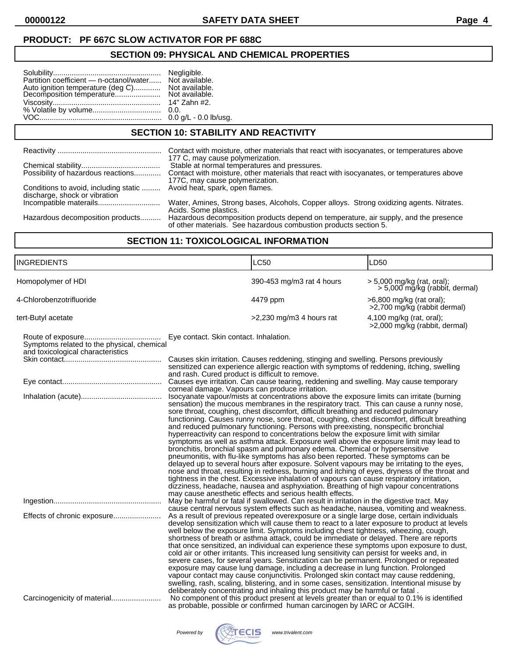### **PRODUCT: PF 667C SLOW ACTIVATOR FOR PF 688C**

### **SECTION 09: PHYSICAL AND CHEMICAL PROPERTIES**

| Partition coefficient - n-octanol/water Not available.                                       |                       |
|----------------------------------------------------------------------------------------------|-----------------------|
| Auto ignition temperature (deg C) Not available.<br>Decomposition temperature Not available. |                       |
|                                                                                              |                       |
|                                                                                              |                       |
|                                                                                              |                       |
|                                                                                              | 0.0 g/L - 0.0 lb/usg. |

# **SECTION 10: STABILITY AND REACTIVITY**

|                                                                        | Contact with moisture, other materials that react with isocyanates, or temperatures above                                                                                                                        |
|------------------------------------------------------------------------|------------------------------------------------------------------------------------------------------------------------------------------------------------------------------------------------------------------|
| Possibility of hazardous reactions                                     | 177 C, may cause polymerization.<br>Stable at normal temperatures and pressures.<br>Contact with moisture, other materials that react with isocyanates, or temperatures above<br>177C, may cause polymerization. |
| Conditions to avoid, including static<br>discharge, shock or vibration | Avoid heat, spark, open flames.                                                                                                                                                                                  |
|                                                                        | Water, Amines, Strong bases, Alcohols, Copper alloys. Strong oxidizing agents. Nitrates.<br>Acids. Some plastics.                                                                                                |
| Hazardous decomposition products                                       | Hazardous decomposition products depend on temperature, air supply, and the presence<br>of other materials. See hazardous combustion products section 5.                                                         |

# **SECTION 11: TOXICOLOGICAL INFORMATION**

| INGREDIENTS                                                                     |                                                                                                    | LC50                                                                                                                                                                                                                                                                                                                                                                                                                                                                                                                                                                                                                                                                                                                                                                                                                                                                                                                                                                                                                                                                                                                                                                                                                                                                 | LD50                                                         |
|---------------------------------------------------------------------------------|----------------------------------------------------------------------------------------------------|----------------------------------------------------------------------------------------------------------------------------------------------------------------------------------------------------------------------------------------------------------------------------------------------------------------------------------------------------------------------------------------------------------------------------------------------------------------------------------------------------------------------------------------------------------------------------------------------------------------------------------------------------------------------------------------------------------------------------------------------------------------------------------------------------------------------------------------------------------------------------------------------------------------------------------------------------------------------------------------------------------------------------------------------------------------------------------------------------------------------------------------------------------------------------------------------------------------------------------------------------------------------|--------------------------------------------------------------|
| Homopolymer of HDI                                                              |                                                                                                    | 390-453 mg/m3 rat 4 hours                                                                                                                                                                                                                                                                                                                                                                                                                                                                                                                                                                                                                                                                                                                                                                                                                                                                                                                                                                                                                                                                                                                                                                                                                                            | > 5,000 mg/kg (rat, oral);<br>> 5,000 mg/kg (rabbit, dermal) |
| 4-Chlorobenzotrifluoride                                                        |                                                                                                    | 4479 ppm                                                                                                                                                                                                                                                                                                                                                                                                                                                                                                                                                                                                                                                                                                                                                                                                                                                                                                                                                                                                                                                                                                                                                                                                                                                             | >6,800 mg/kg (rat oral);<br>>2,700 mg/kg (rabbit dermal)     |
| tert-Butyl acetate                                                              |                                                                                                    | $>2,230$ mg/m3 4 hours rat                                                                                                                                                                                                                                                                                                                                                                                                                                                                                                                                                                                                                                                                                                                                                                                                                                                                                                                                                                                                                                                                                                                                                                                                                                           | 4,100 mg/kg (rat, oral);<br>>2,000 mg/kg (rabbit, dermal)    |
| Symptoms related to the physical, chemical<br>and toxicological characteristics | Eye contact. Skin contact. Inhalation.                                                             | Causes skin irritation. Causes reddening, stinging and swelling. Persons previously<br>sensitized can experience allergic reaction with symptoms of reddening, itching, swelling                                                                                                                                                                                                                                                                                                                                                                                                                                                                                                                                                                                                                                                                                                                                                                                                                                                                                                                                                                                                                                                                                     |                                                              |
|                                                                                 | and rash. Cured product is difficult to remove.<br>corneal damage. Vapours can produce irritation. | Causes eye irritation. Can cause tearing, reddening and swelling. May cause temporary                                                                                                                                                                                                                                                                                                                                                                                                                                                                                                                                                                                                                                                                                                                                                                                                                                                                                                                                                                                                                                                                                                                                                                                |                                                              |
|                                                                                 |                                                                                                    | Isocyanate vapour/mists at concentrations above the exposure limits can irritate (burning<br>sensation) the mucous membranes in the respiratory tract. This can cause a runny nose,<br>sore throat, coughing, chest discomfort, difficult breathing and reduced pulmonary<br>functioning. Causes runny nose, sore throat, coughing, chest discomfort, difficult breathing<br>and reduced pulmonary functioning. Persons with preexisting, nonspecific bronchial<br>hyperreactivity can respond to concentrations below the exposure limit with similar<br>symptoms as well as asthma attack. Exposure well above the exposure limit may lead to<br>bronchitis, bronchial spasm and pulmonary edema. Chemical or hypersensitive<br>pneumonitis, with flu-like symptoms has also been reported. These symptoms can be<br>delayed up to several hours after exposure. Solvent vapours may be irritating to the eyes,<br>nose and throat, resulting in redness, burning and itching of eyes, dryness of the throat and<br>tightness in the chest. Excessive inhalation of vapours can cause respiratory irritation,<br>dizziness, headache, nausea and asphyxiation. Breathing of high vapour concentrations<br>may cause anesthetic effects and serious health effects. |                                                              |
| Effects of chronic exposure                                                     |                                                                                                    | May be harmful or fatal if swallowed. Can result in irritation in the digestive tract. May<br>cause central nervous system effects such as headache, nausea, vomiting and weakness.<br>As a result of previous repeated overexposure or a single large dose, certain individuals<br>develop sensitization which will cause them to react to a later exposure to product at levels<br>well below the exposure limit. Symptoms including chest tightness, wheezing, cough,<br>shortness of breath or asthma attack, could be immediate or delayed. There are reports<br>that once sensitized, an individual can experience these symptoms upon exposure to dust,<br>cold air or other irritants. This increased lung sensitivity can persist for weeks and, in<br>severe cases, for several years. Sensitization can be permanent. Prolonged or repeated<br>exposure may cause lung damage, including a decrease in lung function. Prolonged<br>vapour contact may cause conjunctivitis. Prolonged skin contact may cause reddening,<br>swelling, rash, scaling, blistering, and in some cases, sensitization. Intentional misuse by<br>deliberately concentrating and inhaling this product may be harmful or fatal.                                                  |                                                              |
|                                                                                 |                                                                                                    | No component of this product present at levels greater than or equal to 0.1% is identified<br>as probable, possible or confirmed human carcinogen by IARC or ACGIH.                                                                                                                                                                                                                                                                                                                                                                                                                                                                                                                                                                                                                                                                                                                                                                                                                                                                                                                                                                                                                                                                                                  |                                                              |